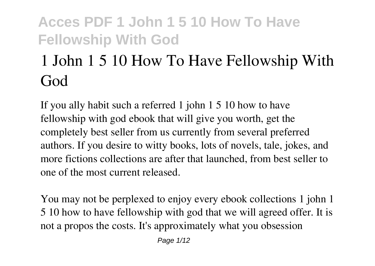# **1 John 1 5 10 How To Have Fellowship With God**

If you ally habit such a referred **1 john 1 5 10 how to have fellowship with god** ebook that will give you worth, get the completely best seller from us currently from several preferred authors. If you desire to witty books, lots of novels, tale, jokes, and more fictions collections are after that launched, from best seller to one of the most current released.

You may not be perplexed to enjoy every ebook collections 1 john 1 5 10 how to have fellowship with god that we will agreed offer. It is not a propos the costs. It's approximately what you obsession

Page  $1/12$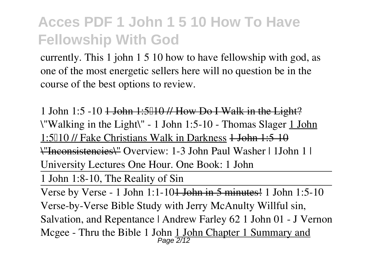currently. This 1 john 1 5 10 how to have fellowship with god, as one of the most energetic sellers here will no question be in the course of the best options to review.

**1 John 1:5 -10** 1 John 1:5–10 // How Do I Walk in the Light? *\"Walking in the Light\" - 1 John 1:5-10 - Thomas Slager* 1 John 1:5010 // Fake Christians Walk in Darkness 4 John 1:5-10 \"Inconsistencies\" **Overview: 1-3 John** *Paul Washer | 1John 1 | University Lectures One Hour. One Book: 1 John*

1 John 1:8-10, The Reality of Sin

Verse by Verse - 1 John 1:1-101 John in 5 minutes! *1 John 1:5-10 Verse-by-Verse Bible Study with Jerry McAnulty* **Willful sin, Salvation, and Repentance | Andrew Farley** *62 1 John 01 - J Vernon Mcgee - Thru the Bible 1 John* 1 John Chapter 1 Summary and Page 2/12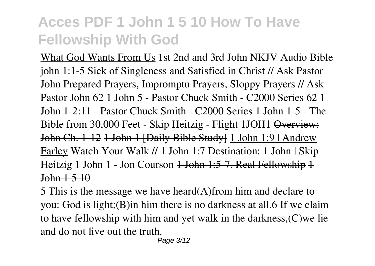What God Wants From Us *1st 2nd and 3rd John NKJV Audio Bible john 1:1-5* **Sick of Singleness and Satisfied in Christ // Ask Pastor John** *Prepared Prayers, Impromptu Prayers, Sloppy Prayers // Ask Pastor John* 62 1 John 5 - Pastor Chuck Smith - C2000 Series 62 1 John 1-2:11 - Pastor Chuck Smith - C2000 Series 1 John 1-5 - The Bible from 30,000 Feet - Skip Heitzig - Flight 1JOH1 Overview: John Ch. 1-12 1 John 1 [Daily Bible Study] 1 John 1:9 | Andrew Farley *Watch Your Walk // 1 John 1:7 Destination: 1 John | Skip Heitzig 1 John 1 - Jon Courson* 1 John 1:5-7, Real Fellowship 1 John 1 5 10

5 This is the message we have heard(A)from him and declare to you: God is light;(B)in him there is no darkness at all.6 If we claim to have fellowship with him and yet walk in the darkness,(C)we lie and do not live out the truth.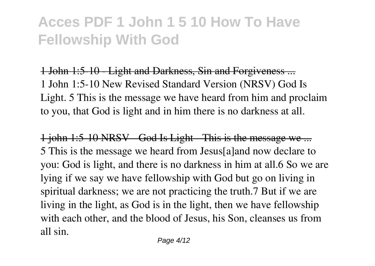1 John 1:5-10 - Light and Darkness, Sin and Forgiveness ... 1 John 1:5-10 New Revised Standard Version (NRSV) God Is Light. 5 This is the message we have heard from him and proclaim to you, that God is light and in him there is no darkness at all.

1 john 1:5-10 NRSV God Is Light This is the message we ... 5 This is the message we heard from Jesus[a]and now declare to you: God is light, and there is no darkness in him at all.6 So we are lying if we say we have fellowship with God but go on living in spiritual darkness; we are not practicing the truth.7 But if we are living in the light, as God is in the light, then we have fellowship with each other, and the blood of Jesus, his Son, cleanses us from all sin.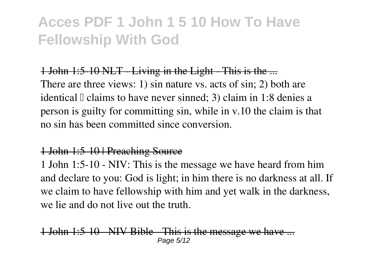#### 1 John 1:5 10 NLT - Living in the Light - This is the ...

There are three views: 1) sin nature vs. acts of sin; 2) both are identical  $\mathbb I$  claims to have never sinned; 3) claim in 1:8 denies a person is guilty for committing sin, while in v.10 the claim is that no sin has been committed since conversion.

#### 1 John 1:5-10 | Preaching Source

1 John 1:5-10 - NIV: This is the message we have heard from him and declare to you: God is light; in him there is no darkness at all. If we claim to have fellowship with him and yet walk in the darkness, we lie and do not live out the truth.

 $1:5$  10 NIV Bible This is the message we ha Page 5/12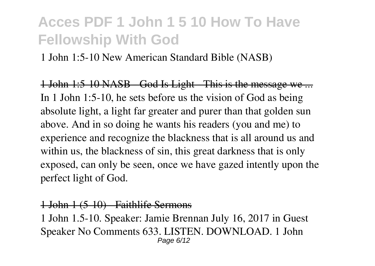1 John 1:5-10 New American Standard Bible (NASB)

1 John 1:5 10 NASB God Is Light This is the message we ... In 1 John 1:5-10, he sets before us the vision of God as being absolute light, a light far greater and purer than that golden sun above. And in so doing he wants his readers (you and me) to experience and recognize the blackness that is all around us and within us, the blackness of sin, this great darkness that is only exposed, can only be seen, once we have gazed intently upon the perfect light of God.

#### 1 John 1 (5-10) Faithlife Sermons

1 John 1.5-10. Speaker: Jamie Brennan July 16, 2017 in Guest Speaker No Comments 633. LISTEN. DOWNLOAD. 1 John Page 6/12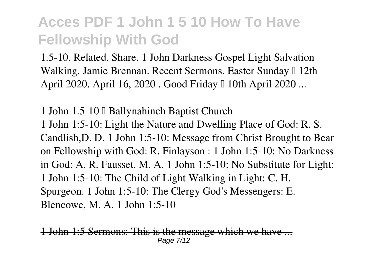1.5-10. Related. Share. 1 John Darkness Gospel Light Salvation Walking. Jamie Brennan. Recent Sermons. Easter Sunday I 12th April 2020. April 16, 2020. Good Friday I 10th April 2020...

#### 1 John 1.5-10 – Ballynahinch Baptist Church

1 John 1:5-10: Light the Nature and Dwelling Place of God: R. S. Candlish,D. D. 1 John 1:5-10: Message from Christ Brought to Bear on Fellowship with God: R. Finlayson : 1 John 1:5-10: No Darkness in God: A. R. Fausset, M. A. 1 John 1:5-10: No Substitute for Light: 1 John 1:5-10: The Child of Light Walking in Light: C. H. Spurgeon. 1 John 1:5-10: The Clergy God's Messengers: E. Blencowe, M. A. 1 John 1:5-10

John 1:5 Sermons: This is the message which we have Page 7/12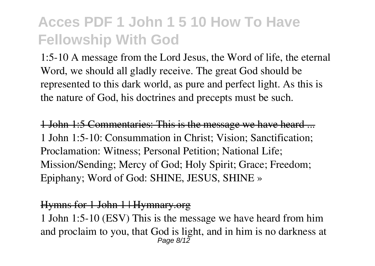1:5-10 A message from the Lord Jesus, the Word of life, the eternal Word, we should all gladly receive. The great God should be represented to this dark world, as pure and perfect light. As this is the nature of God, his doctrines and precepts must be such.

1 John 1:5 Commentaries: This is the message we have heard ... 1 John 1:5-10: Consummation in Christ; Vision; Sanctification; Proclamation: Witness; Personal Petition; National Life; Mission/Sending; Mercy of God; Holy Spirit; Grace; Freedom; Epiphany; Word of God: SHINE, JESUS, SHINE »

#### Hymns for 1 John 1 | Hymnary.org

1 John 1:5-10 (ESV) This is the message we have heard from him and proclaim to you, that God is light, and in him is no darkness at Page 8/12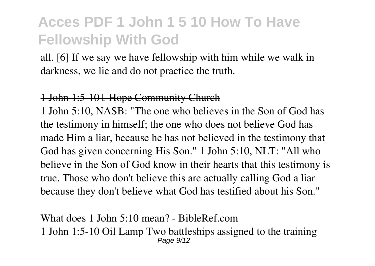all. [6] If we say we have fellowship with him while we walk in darkness, we lie and do not practice the truth.

#### 1 John 1:5-10 Hope Community Church

1 John 5:10, NASB: "The one who believes in the Son of God has the testimony in himself; the one who does not believe God has made Him a liar, because he has not believed in the testimony that God has given concerning His Son." 1 John 5:10, NLT: "All who believe in the Son of God know in their hearts that this testimony is true. Those who don't believe this are actually calling God a liar because they don't believe what God has testified about his Son."

#### What does 1 John 5:10 mean? RibleRef.com

1 John 1:5-10 Oil Lamp Two battleships assigned to the training Page 9/12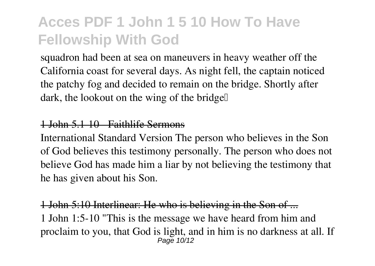squadron had been at sea on maneuvers in heavy weather off the California coast for several days. As night fell, the captain noticed the patchy fog and decided to remain on the bridge. Shortly after dark, the lookout on the wing of the bridge.

#### 1 John 5.1-10 - Faithlife Sermons

International Standard Version The person who believes in the Son of God believes this testimony personally. The person who does not believe God has made him a liar by not believing the testimony that he has given about his Son.

#### 1 John 5:10 Interlinear: He who is believing in the Son of ...

1 John 1:5-10 "This is the message we have heard from him and proclaim to you, that God is light, and in him is no darkness at all. If Page 10/12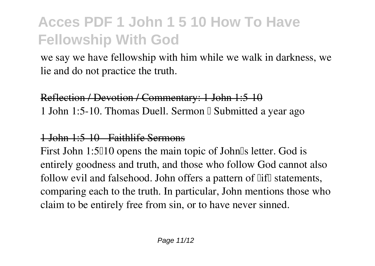we say we have fellowship with him while we walk in darkness, we lie and do not practice the truth.

### Reflection / Devotion / Commentary: 1 John 1:5-10 1 John 1:5-10. Thomas Duell. Sermon I Submitted a year ago

### 1 John 1:5-10 - Faithlife Sermons

First John 1:5010 opens the main topic of John0s letter. God is entirely goodness and truth, and those who follow God cannot also follow evil and falsehood. John offers a pattern of  $\overline{\text{lift}}$  statements, comparing each to the truth. In particular, John mentions those who claim to be entirely free from sin, or to have never sinned.